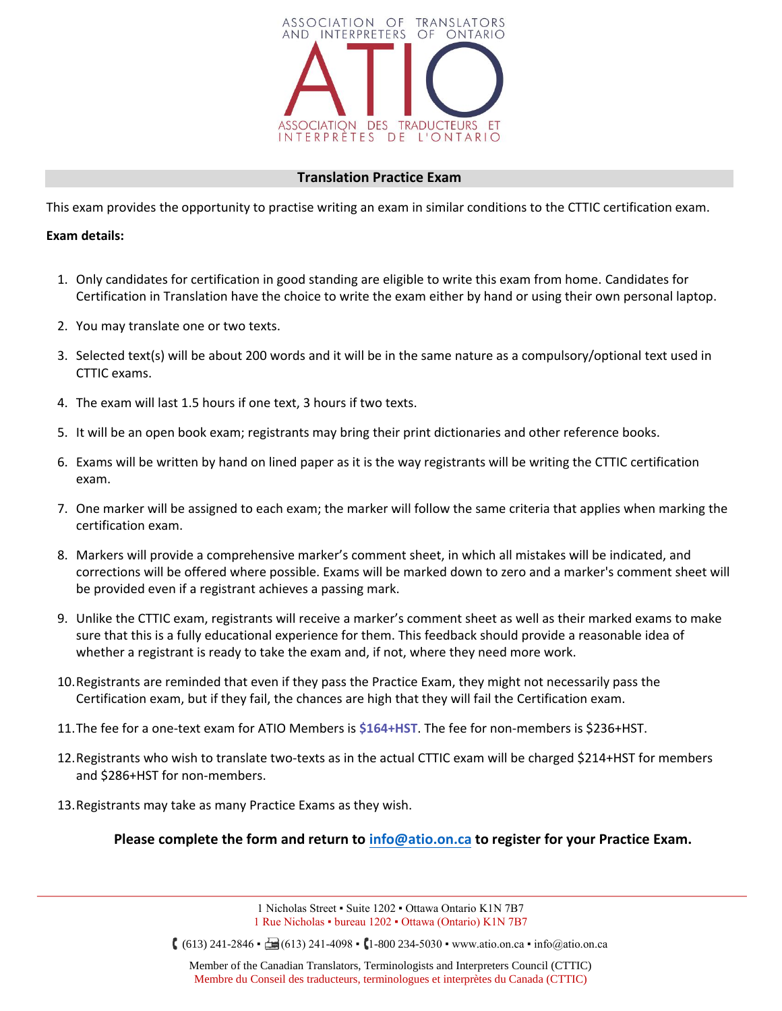

## **Translation Practice Exam**

This exam provides the opportunity to practise writing an exam in similar conditions to the CTTIC certification exam.

#### **Exam details:**

- 1. Only candidates for certification in good standing are eligible to write this exam from home. Candidates for Certification in Translation have the choice to write the exam either by hand or using their own personal laptop.
- 2. You may translate one or two texts.
- 3. Selected text(s) will be about 200 words and it will be in the same nature as a compulsory/optional text used in CTTIC exams.
- 4. The exam will last 1.5 hours if one text, 3 hours if two texts.
- 5. It will be an open book exam; registrants may bring their print dictionaries and other reference books.
- 6. Exams will be written by hand on lined paper as it is the way registrants will be writing the CTTIC certification exam.
- 7. One marker will be assigned to each exam; the marker will follow the same criteria that applies when marking the certification exam.
- 8. Markers will provide a comprehensive marker's comment sheet, in which all mistakes will be indicated, and corrections will be offered where possible. Exams will be marked down to zero and a marker's comment sheet will be provided even if a registrant achieves a passing mark.
- 9. Unlike the CTTIC exam, registrants will receive a marker's comment sheet as well as their marked exams to make sure that this is a fully educational experience for them. This feedback should provide a reasonable idea of whether a registrant is ready to take the exam and, if not, where they need more work.
- 10.Registrants are reminded that even if they pass the Practice Exam, they might not necessarily pass the Certification exam, but if they fail, the chances are high that they will fail the Certification exam.
- 11.The fee for a one-text exam for ATIO Members is **\$164+HST**. The fee for non-members is \$236+HST.
- 12.Registrants who wish to translate two-texts as in the actual CTTIC exam will be charged \$214+HST for members and \$286+HST for non-members.
- 13.Registrants may take as many Practice Exams as they wish.

**Please complete the form and return to info@atio.on.ca to register for your Practice Exam.**

1 Nicholas Street ▪ Suite 1202 ▪ Ottawa Ontario K1N 7B7 1 Rue Nicholas ▪ bureau 1202 ▪ Ottawa (Ontario) K1N 7B7

 $(613)$  241-2846  $\div$  (613) 241-4098  $\cdot$  (1-800 234-5030  $\cdot$  www.atio.on.ca  $\cdot$  info@atio.on.ca

Member of the Canadian Translators, Terminologists and Interpreters Council (CTTIC) Membre du Conseil des traducteurs, terminologues et interprètes du Canada (CTTIC)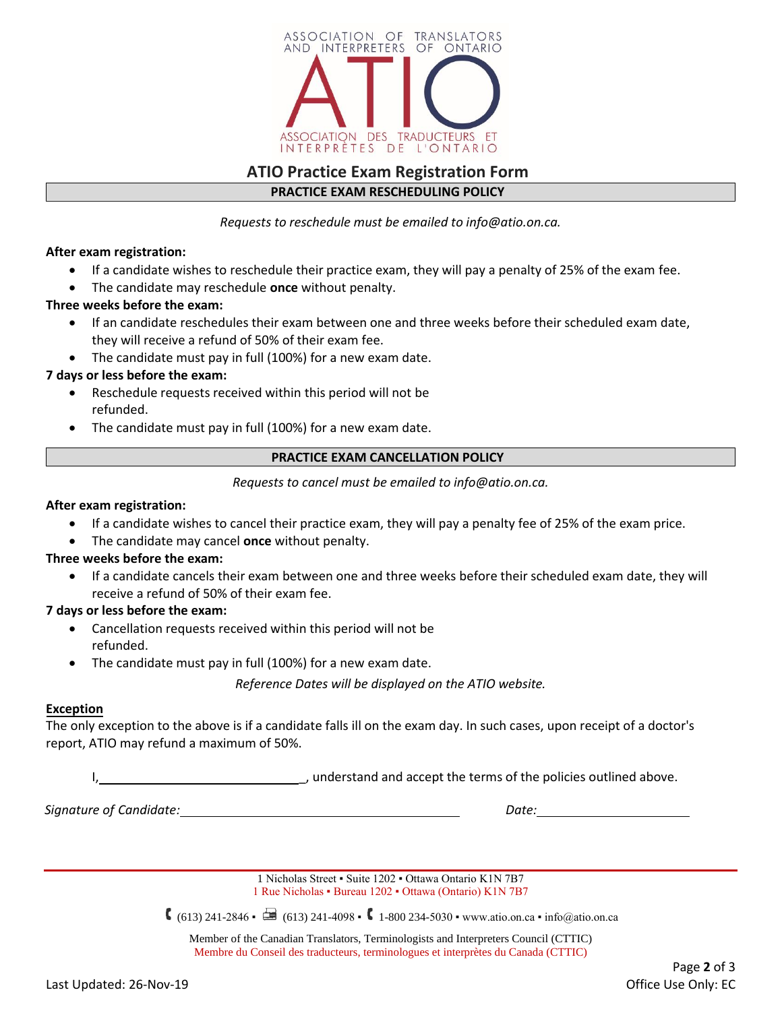

# **ATIO Practice Exam Registration Form PRACTICE EXAM RESCHEDULING POLICY**

*Requests to reschedule must be emailed to info@atio.on.ca.*

**After exam registration:**

- If a candidate wishes to reschedule their practice exam, they will pay a penalty of 25% of the exam fee.
- The candidate may reschedule **once** without penalty.

#### **Three weeks before the exam:**

- If an candidate reschedules their exam between one and three weeks before their scheduled exam date, they will receive a refund of 50% of their exam fee.
- The candidate must pay in full (100%) for a new exam date.

## **7 days or less before the exam:**

- Reschedule requests received within this period will not be refunded.
- The candidate must pay in full (100%) for a new exam date.

## **PRACTICE EXAM CANCELLATION POLICY**

*Requests to cancel must be emailed to info@atio.on.ca.*

#### **After exam registration:**

- If a candidate wishes to cancel their practice exam, they will pay a penalty fee of 25% of the exam price.
- The candidate may cancel **once** without penalty.

#### **Three weeks before the exam:**

• If a candidate cancels their exam between one and three weeks before their scheduled exam date, they will receive a refund of 50% of their exam fee.

#### **7 days or less before the exam:**

- Cancellation requests received within this period will not be refunded.
- The candidate must pay in full (100%) for a new exam date.

*Reference Dates will be displayed on the ATIO website.*

#### **Exception**

The only exception to the above is if a candidate falls ill on the exam day. In such cases, upon receipt of a doctor's report, ATIO may refund a maximum of 50%.

I, understand and accept the terms of the policies outlined above.

*Signature of Candidate: Date:*

1 Nicholas Street ▪ Suite 1202 ▪ Ottawa Ontario K1N 7B7 1 Rue Nicholas ▪ Bureau 1202 ▪ Ottawa (Ontario) K1N 7B7

 $(613)$  241-2846 •  $\Box$  (613) 241-4098 •  $\Box$  1-800 234-5030 • www.atio.on.ca • info@atio.on.ca

Member of the Canadian Translators, Terminologists and Interpreters Council (CTTIC) Membre du Conseil des traducteurs, terminologues et interprètes du Canada (CTTIC)